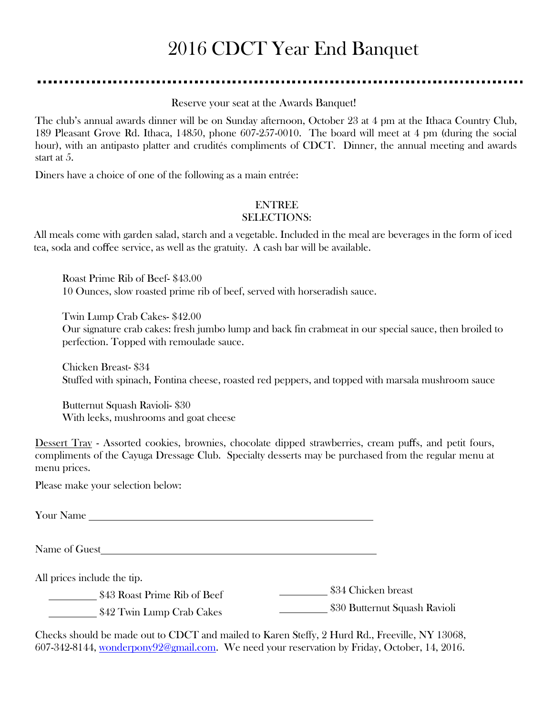# 2016 CDCT Year End Banquet

Reserve your seat at the Awards Banquet!

The club's annual awards dinner will be on Sunday afternoon, October 23 at 4 pm at the Ithaca Country Club, 189 Pleasant Grove Rd. Ithaca, 14850, phone 607-257-0010. The board will meet at 4 pm (during the social hour), with an antipasto platter and crudités compliments of CDCT. Dinner, the annual meeting and awards start at 5.

Diners have a choice of one of the following as a main entrée:

#### ENTREE

#### SELECTIONS:

All meals come with garden salad, starch and a vegetable. Included in the meal are beverages in the form of iced tea, soda and coffee service, as well as the gratuity. A cash bar will be available.

Roast Prime Rib of Beef- \$43.00 10 Ounces, slow roasted prime rib of beef, served with horseradish sauce.

Twin Lump Crab Cakes- \$42.00

Our signature crab cakes: fresh jumbo lump and back fin crabmeat in our special sauce, then broiled to perfection. Topped with remoulade sauce.

Chicken Breast- \$34 Stuffed with spinach, Fontina cheese, roasted red peppers, and topped with marsala mushroom sauce

Butternut Squash Ravioli- \$30 With leeks, mushrooms and goat cheese

Dessert Tray - Assorted cookies, brownies, chocolate dipped strawberries, cream puffs, and petit fours, compliments of the Cayuga Dressage Club. Specialty desserts may be purchased from the regular menu at menu prices.

Please make your selection below:

Your Name

Name of Guest

All prices include the tip.

\$43 Roast Prime Rib of Beef \$34 Chicken breast

\$42 Twin Lump Crab Cakes \$30 Butternut Squash Ravioli

Checks should be made out to CDCT and mailed to Karen Steffy, 2 Hurd Rd., Freeville, NY 13068, 607-342-8144, [wonderpony92@gmail.com.](mailto:wonderpony92@gmail.com) We need your reservation by Friday, October, 14, 2016.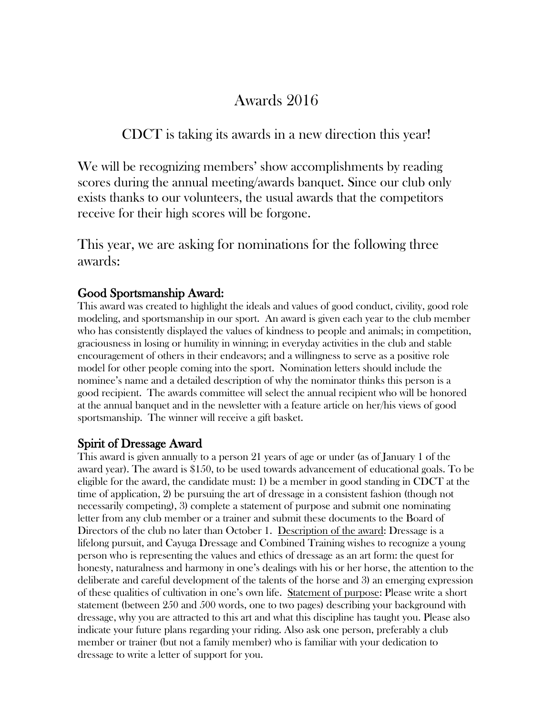# Awards 2016

CDCT is taking its awards in a new direction this year!

We will be recognizing members' show accomplishments by reading scores during the annual meeting/awards banquet. Since our club only exists thanks to our volunteers, the usual awards that the competitors receive for their high scores will be forgone.

This year, we are asking for nominations for the following three awards:

#### Good Sportsmanship Award:

This award was created to highlight the ideals and values of good conduct, civility, good role modeling, and sportsmanship in our sport. An award is given each year to the club member who has consistently displayed the values of kindness to people and animals; in competition, graciousness in losing or humility in winning; in everyday activities in the club and stable encouragement of others in their endeavors; and a willingness to serve as a positive role model for other people coming into the sport. Nomination letters should include the nominee's name and a detailed description of why the nominator thinks this person is a good recipient. The awards committee will select the annual recipient who will be honored at the annual banquet and in the newsletter with a feature article on her/his views of good sportsmanship. The winner will receive a gift basket.

#### Spirit of Dressage Award

This award is given annually to a person 21 years of age or under (as of January 1 of the award year). The award is \$150, to be used towards advancement of educational goals. To be eligible for the award, the candidate must: 1) be a member in good standing in CDCT at the time of application, 2) be pursuing the art of dressage in a consistent fashion (though not necessarily competing), 3) complete a statement of purpose and submit one nominating letter from any club member or a trainer and submit these documents to the Board of Directors of the club no later than October 1. Description of the award: Dressage is a lifelong pursuit, and Cayuga Dressage and Combined Training wishes to recognize a young person who is representing the values and ethics of dressage as an art form: the quest for honesty, naturalness and harmony in one's dealings with his or her horse, the attention to the deliberate and careful development of the talents of the horse and 3) an emerging expression of these qualities of cultivation in one's own life. Statement of purpose: Please write a short statement (between 250 and 500 words, one to two pages) describing your background with dressage, why you are attracted to this art and what this discipline has taught you. Please also indicate your future plans regarding your riding. Also ask one person, preferably a club member or trainer (but not a family member) who is familiar with your dedication to dressage to write a letter of support for you.